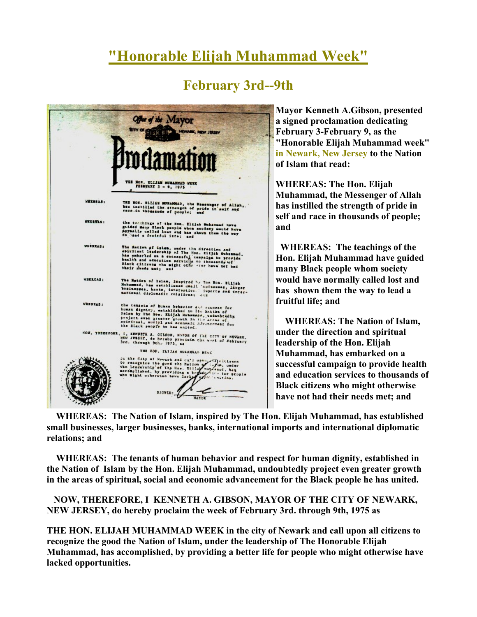## "Honorable Elijah Muhammad Week"

## February 3rd--9th



Mayor Kenneth A.Gibson, presented a signed proclamation dedicating February 3-February 9, as the "Honorable Elijah Muhammad week" in Newark, New Jersey to the Nation of Islam that read:

WHEREAS: The Hon. Elijah Muhammad, the Messenger of Allah has instilled the strength of pride in self and race in thousands of people; and

 WHEREAS: The teachings of the Hon. Elijah Muhammad have guided many Black people whom society would have normally called lost and has shown them the way to lead a fruitful life; and

 WHEREAS: The Nation of Islam, under the direction and spiritual leadership of the Hon. Elijah Muhammad, has embarked on a successful campaign to provide health and education services to thousands of Black citizens who might otherwise have not had their needs met; and

 WHEREAS: The Nation of Islam, inspired by The Hon. Elijah Muhammad, has established small businesses, larger businesses, banks, international imports and international diplomatic relations; and

 WHEREAS: The tenants of human behavior and respect for human dignity, established in the Nation of Islam by the Hon. Elijah Muhammad, undoubtedly project even greater growth in the areas of spiritual, social and economic advancement for the Black people he has united.

 NOW, THEREFORE, I KENNETH A. GIBSON, MAYOR OF THE CITY OF NEWARK, NEW JERSEY, do hereby proclaim the week of February 3rd. through 9th, 1975 as

THE HON. ELIJAH MUHAMMAD WEEK in the city of Newark and call upon all citizens to recognize the good the Nation of Islam, under the leadership of The Honorable Elijah Muhammad, has accomplished, by providing a better life for people who might otherwise have lacked opportunities.